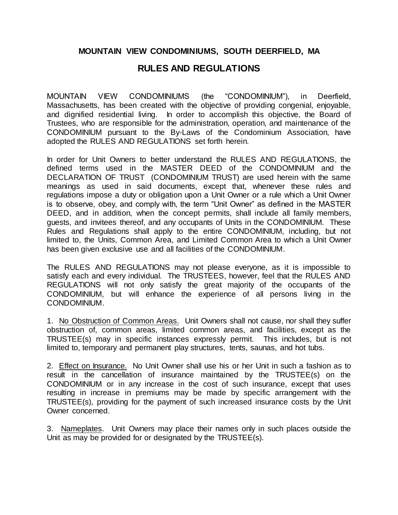## **MOUNTAIN VIEW CONDOMINIUMS, SOUTH DEERFIELD, MA**

## **RULES AND REGULATIONS**

MOUNTAIN VIEW CONDOMINIUMS (the "CONDOMINIUM"), in Deerfield, Massachusetts, has been created with the objective of providing congenial, enjoyable, and dignified residential living. In order to accomplish this objective, the Board of Trustees, who are responsible for the administration, operation, and maintenance of the CONDOMINIUM pursuant to the By-Laws of the Condominium Association, have adopted the RULES AND REGULATIONS set forth herein.

In order for Unit Owners to better understand the RULES AND REGULATIONS, the defined terms used in the MASTER DEED of the CONDOMINIUM and the DECLARATION OF TRUST (CONDOMINIUM TRUST) are used herein with the same meanings as used in said documents, except that, whenever these rules and regulations impose a duty or obligation upon a Unit Owner or a rule which a Unit Owner is to observe, obey, and comply with, the term "Unit Owner" as defined in the MASTER DEED, and in addition, when the concept permits, shall include all family members, guests, and invitees thereof, and any occupants of Units in the CONDOMINIUM. These Rules and Regulations shall apply to the entire CONDOMINIUM, including, but not limited to, the Units, Common Area, and Limited Common Area to which a Unit Owner has been given exclusive use and all facilities of the CONDOMINIUM.

The RULES AND REGULATIONS may not please everyone, as it is impossible to satisfy each and every individual. The TRUSTEES, however, feel that the RULES AND REGULATIONS will not only satisfy the great majority of the occupants of the CONDOMINIUM, but will enhance the experience of all persons living in the CONDOMINIUM.

1. No Obstruction of Common Areas. Unit Owners shall not cause, nor shall they suffer obstruction of, common areas, limited common areas, and facilities, except as the TRUSTEE(s) may in specific instances expressly permit. This includes, but is not limited to, temporary and permanent play structures, tents, saunas, and hot tubs.

2. Effect on Insurance. No Unit Owner shall use his or her Unit in such a fashion as to result in the cancellation of insurance maintained by the TRUSTEE(s) on the CONDOMINIUM or in any increase in the cost of such insurance, except that uses resulting in increase in premiums may be made by specific arrangement with the TRUSTEE(s), providing for the payment of such increased insurance costs by the Unit Owner concerned.

3. Nameplates. Unit Owners may place their names only in such places outside the Unit as may be provided for or designated by the TRUSTEE(s).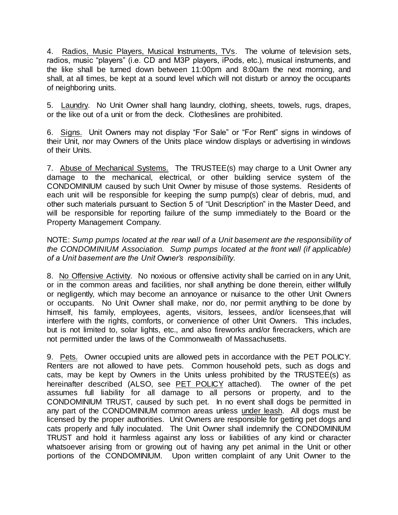4. Radios, Music Players, Musical Instruments, TVs. The volume of television sets, radios, music "players" (i.e. CD and M3P players, iPods, etc.), musical instruments, and the like shall be turned down between 11:00pm and 8:00am the next morning, and shall, at all times, be kept at a sound level which will not disturb or annoy the occupants of neighboring units.

5. Laundry. No Unit Owner shall hang laundry, clothing, sheets, towels, rugs, drapes, or the like out of a unit or from the deck. Clotheslines are prohibited.

6. Signs. Unit Owners may not display "For Sale" or "For Rent" signs in windows of their Unit, nor may Owners of the Units place window displays or advertising in windows of their Units.

7. Abuse of Mechanical Systems. The TRUSTEE(s) may charge to a Unit Owner any damage to the mechanical, electrical, or other building service system of the CONDOMINIUM caused by such Unit Owner by misuse of those systems. Residents of each unit will be responsible for keeping the sump pump(s) clear of debris, mud, and other such materials pursuant to Section 5 of "Unit Description" in the Master Deed, and will be responsible for reporting failure of the sump immediately to the Board or the Property Management Company.

NOTE: *Sump pumps located at the rear wall of a Unit basement are the responsibility of the CONDOMINIUM Association. Sump pumps located at the front wall (if applicable) of a Unit basement are the Unit Owner's responsibility.*

8. No Offensive Activity. No noxious or offensive activity shall be carried on in any Unit, or in the common areas and facilities, nor shall anything be done therein, either willfully or negligently, which may become an annoyance or nuisance to the other Unit Owners or occupants. No Unit Owner shall make, nor do, nor permit anything to be done by himself, his family, employees, agents, visitors, lessees, and/or licensees,that will interfere with the rights, comforts, or convenience of other Unit Owners. This includes, but is not limited to, solar lights, etc., and also fireworks and/or firecrackers, which are not permitted under the laws of the Commonwealth of Massachusetts.

9. Pets. Owner occupied units are allowed pets in accordance with the PET POLICY. Renters are not allowed to have pets. Common household pets, such as dogs and cats, may be kept by Owners in the Units unless prohibited by the TRUSTEE(s) as hereinafter described (ALSO, see PET POLICY attached). The owner of the pet assumes full liability for all damage to all persons or property, and to the CONDOMINIUM TRUST, caused by such pet. In no event shall dogs be permitted in any part of the CONDOMINIUM common areas unless under leash. All dogs must be licensed by the proper authorities. Unit Owners are responsible for getting pet dogs and cats properly and fully inoculated. The Unit Owner shall indemnify the CONDOMINIUM TRUST and hold it harmless against any loss or liabilities of any kind or character whatsoever arising from or growing out of having any pet animal in the Unit or other portions of the CONDOMINIUM. Upon written complaint of any Unit Owner to the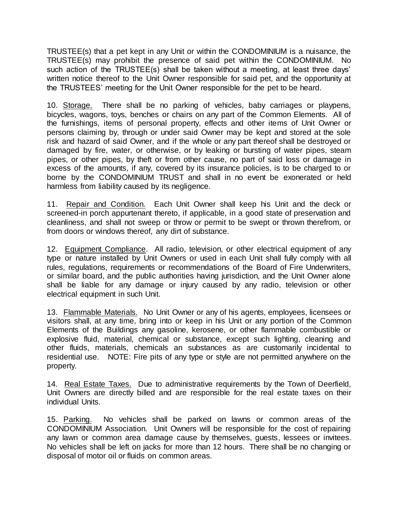TRUSTEE(s) that a pet kept in any Unit or within the CONDOMINIUM is a nuisance, the TRUSTEE(s) may prohibit the presence of said pet within the CONDOMINIUM. No such action of the TRUSTEE(s) shall be taken without a meeting, at least three days' written notice thereof to the Unit Owner responsible for said pet, and the opportunity at the TRUSTEES' meeting for the Unit Owner responsible for the pet to be heard.

10. Storage. There shall be no parking of vehicles, baby carriages or playpens, bicycles, wagons, toys, benches or chairs on any part of the Common Elements. All of the furnishings, items of personal property, effects and other items of Unit Owner or persons claiming by, through or under said Owner may be kept and stored at the sole risk and hazard of said Owner, and if the whole or any part thereof shall be destroyed or damaged by fire, water, or otherwise, or by leaking or bursting of water pipes, steam pipes, or other pipes, by theft or from other cause, no part of said loss or damage in excess of the amounts, if any, covered by its insurance policies, is to be charged to or borne by the CONDOMINIUM TRUST and shall in no event be exonerated or held harmless from liability caused by its negligence.

11. Repair and Condition. Each Unit Owner shall keep his Unit and the deck or screened-in porch appurtenant thereto, if applicable, in a good state of preservation and cleanliness, and shall not sweep or throw or permit to be swept or thrown therefrom, or from doors or windows thereof, any dirt of substance.

12. Equipment Compliance. All radio, television, or other electrical equipment of any type or nature installed by Unit Owners or used in each Unit shall fully comply with all rules, regulations, requirements or recommendations of the Board of Fire Underwriters, or similar board, and the public authorities having jurisdiction, and the Unit Owner alone shall be liable for any damage or injury caused by any radio, television or other electrical equipment in such Unit.

13. Flammable Materials. No Unit Owner or any of his agents, employees, licensees or visitors shall, at any time, bring into or keep in his Unit or any portion of the Common Elements of the Buildings any gasoline, kerosene, or other flammable combustible or explosive fluid, material, chemical or substance, except such lighting, cleaning and other fluids, materials, chemicals an substances as are customarily incidental to residential use. NOTE: Fire pits of any type or style are not permitted anywhere on the property.

14. Real Estate Taxes. Due to administrative requirements by the Town of Deerfield, Unit Owners are directly billed and are responsible for the real estate taxes on their individual Units.

15. Parking. No vehicles shall be parked on lawns or common areas of the CONDOMINIUM Association. Unit Owners will be responsible for the cost of repairing any lawn or common area damage cause by themselves, guests, lessees or invitees. No vehicles shall be left on jacks for more than 12 hours. There shall be no changing or disposal of motor oil or fluids on common areas.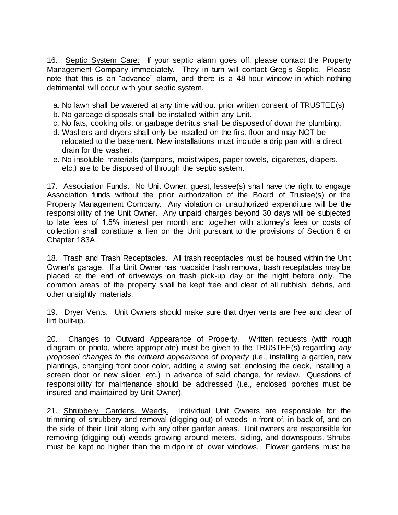16. Septic System Care: If your septic alarm goes off, please contact the Property Management Company immediately. They in turn will contact Greg's Septic. Please note that this is an "advance" alarm, and there is a 48-hour window in which nothing detrimental will occur with your septic system.

- a. No lawn shall be watered at any time without prior written consent of TRUSTEE(s)
- b. No garbage disposals shall be installed within any Unit.
- c. No fats, cooking oils, or garbage detritus shall be disposed of down the plumbing.
- d. Washers and dryers shall only be installed on the first floor and may NOT be relocated to the basement. New installations must include a drip pan with a direct drain for the washer.
- e. No insoluble materials (tampons, moist wipes, paper towels, cigarettes, diapers, etc.) are to be disposed of through the septic system.

17. Association Funds. No Unit Owner, guest, lessee(s) shall have the right to engage Association funds without the prior authorization of the Board of Trustee(s) or the Property Management Company. Any violation or unauthorized expenditure will be the responsibility of the Unit Owner. Any unpaid charges beyond 30 days will be subjected to late fees of 1.5% interest per month and together with attorney's fees or costs of collection shall constitute a lien on the Unit pursuant to the provisions of Section 6 or Chapter 183A.

18. Trash and Trash Receptacles. All trash receptacles must be housed within the Unit Owner's garage. If a Unit Owner has roadside trash removal, trash receptacles may be placed at the end of driveways on trash pick-up day or the night before only. The common areas of the property shall be kept free and clear of all rubbish, debris, and other unsightly materials.

19. Dryer Vents. Unit Owners should make sure that dryer vents are free and clear of lint built-up.

20. Changes to Outward Appearance of Property. Written requests (with rough diagram or photo, where appropriate) must be given to the TRUSTEE(s) regarding *any proposed changes to the outward appearance of property* (i.e., installing a garden, new plantings, changing front door color, adding a swing set, enclosing the deck, installing a screen door or new slider, etc.) in advance of said change, for review. Questions of responsibility for maintenance should be addressed (i.e., enclosed porches must be insured and maintained by Unit Owner).

21. Shrubbery, Gardens, Weeds. Individual Unit Owners are responsible for the trimming of shrubbery and removal (digging out) of weeds in front of, in back of, and on the side of their Unit along with any other garden areas. Unit owners are responsible for removing (digging out) weeds growing around meters, siding, and downspouts. Shrubs must be kept no higher than the midpoint of lower windows. Flower gardens must be